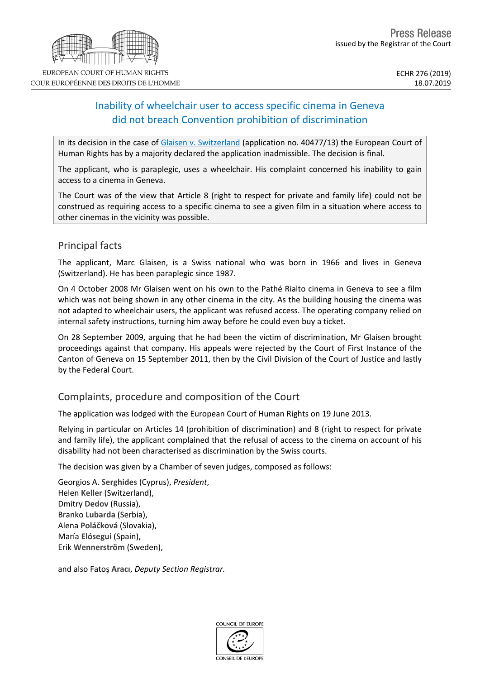# Inability of wheelchair user to access specific cinema in Geneva did not breach Convention prohibition of discrimination

In its decision in the case of Glaisen v. [Switzerland](http://hudoc.echr.coe.int/eng?i=001-194652) (application no. 40477/13) the European Court of Human Rights has by a majority declared the application inadmissible. The decision is final.

The applicant, who is paraplegic, uses a wheelchair. His complaint concerned his inability to gain access to a cinema in Geneva.

The Court was of the view that Article 8 (right to respect for private and family life) could not be construed as requiring access to a specific cinema to see a given film in a situation where access to other cinemas in the vicinity was possible.

### Principal facts

The applicant, Marc Glaisen, is a Swiss national who was born in 1966 and lives in Geneva (Switzerland). He has been paraplegic since 1987.

On 4 October 2008 Mr Glaisen went on his own to the Pathé Rialto cinema in Geneva to see a film which was not being shown in any other cinema in the city. As the building housing the cinema was not adapted to wheelchair users, the applicant was refused access. The operating company relied on internal safety instructions, turning him away before he could even buy a ticket.

On 28 September 2009, arguing that he had been the victim of discrimination, Mr Glaisen brought proceedings against that company. His appeals were rejected by the Court of First Instance of the Canton of Geneva on 15 September 2011, then by the Civil Division of the Court of Justice and lastly by the Federal Court.

### Complaints, procedure and composition of the Court

The application was lodged with the European Court of Human Rights on 19 June 2013.

Relying in particular on Articles 14 (prohibition of discrimination) and 8 (right to respect for private and family life), the applicant complained that the refusal of access to the cinema on account of his disability had not been characterised as discrimination by the Swiss courts.

The decision was given by a Chamber of seven judges, composed as follows:

Georgios A. **Serghides** (Cyprus), *President*, Helen **Keller** (Switzerland), Dmitry **Dedov** (Russia), Branko **Lubarda** (Serbia), Alena **Poláčková** (Slovakia), María **Elósegui** (Spain), Erik **Wennerström** (Sweden),

and also Fatoş **Aracı**, *Deputy Section Registrar.*



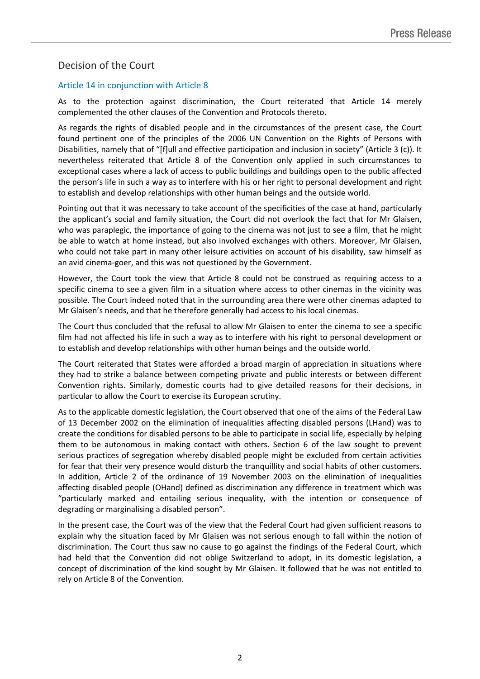## Decision of the Court

#### Article 14 in conjunction with Article 8

As to the protection against discrimination, the Court reiterated that Article 14 merely complemented the other clauses of the Convention and Protocols thereto.

As regards the rights of disabled people and in the circumstances of the present case, the Court found pertinent one of the principles of the 2006 UN Convention on the Rights of Persons with Disabilities, namely that of "[f]ull and effective participation and inclusion in society" (Article 3 (c)). It nevertheless reiterated that Article 8 of the Convention only applied in such circumstances to exceptional cases where a lack of access to public buildings and buildings open to the public affected the person's life in such a way as to interfere with his or her right to personal development and right to establish and develop relationships with other human beings and the outside world.

Pointing out that it was necessary to take account of the specificities of the case at hand, particularly the applicant's social and family situation, the Court did not overlook the fact that for Mr Glaisen, who was paraplegic, the importance of going to the cinema was not just to see a film, that he might be able to watch at home instead, but also involved exchanges with others. Moreover, Mr Glaisen, who could not take part in many other leisure activities on account of his disability, saw himself as an avid cinema-goer, and this was not questioned by the Government.

However, the Court took the view that Article 8 could not be construed as requiring access to a specific cinema to see a given film in a situation where access to other cinemas in the vicinity was possible. The Court indeed noted that in the surrounding area there were other cinemas adapted to Mr Glaisen's needs, and that he therefore generally had access to his local cinemas.

The Court thus concluded that the refusal to allow Mr Glaisen to enter the cinema to see a specific film had not affected his life in such a way as to interfere with his right to personal development or to establish and develop relationships with other human beings and the outside world.

The Court reiterated that States were afforded a broad margin of appreciation in situations where they had to strike a balance between competing private and public interests or between different Convention rights. Similarly, domestic courts had to give detailed reasons for their decisions, in particular to allow the Court to exercise its European scrutiny.

As to the applicable domestic legislation, the Court observed that one of the aims of the Federal Law of 13 December 2002 on the elimination of inequalities affecting disabled persons (LHand) was to create the conditions for disabled persons to be able to participate in social life, especially by helping them to be autonomous in making contact with others. Section 6 of the law sought to prevent serious practices of segregation whereby disabled people might be excluded from certain activities for fear that their very presence would disturb the tranquillity and social habits of other customers. In addition, Article 2 of the ordinance of 19 November 2003 on the elimination of inequalities affecting disabled people (OHand) defined as discrimination any difference in treatment which was "particularly marked and entailing serious inequality, with the intention or consequence of degrading or marginalising a disabled person".

In the present case, the Court was of the view that the Federal Court had given sufficient reasons to explain why the situation faced by Mr Glaisen was not serious enough to fall within the notion of discrimination. The Court thus saw no cause to go against the findings of the Federal Court, which had held that the Convention did not oblige Switzerland to adopt, in its domestic legislation, a concept of discrimination of the kind sought by Mr Glaisen. It followed that he was not entitled to rely on Article 8 of the Convention.